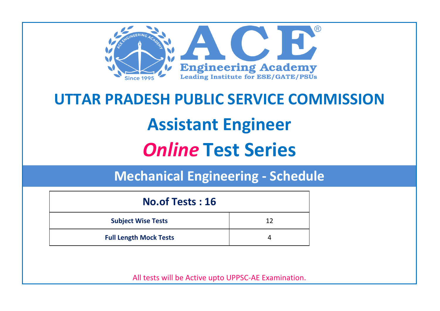

# **UTTAR PRADESH PUBLIC SERVICE COMMISSION Assistant Engineer** *Online* **Test Series**

**Mechanical Engineering - Schedule**

| <b>No.of Tests: 16</b>        |    |  |
|-------------------------------|----|--|
| <b>Subject Wise Tests</b>     | 12 |  |
| <b>Full Length Mock Tests</b> |    |  |

All tests will be Active upto UPPSC-AE Examination.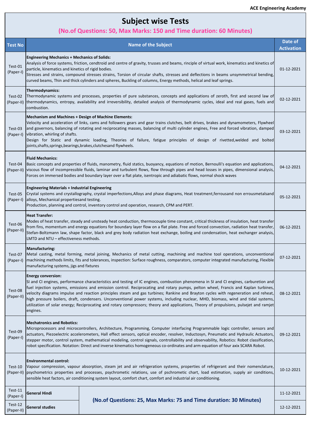# **Subject wise Tests**

### **(No.of Questions: 50, Max Marks: 150 and Time duration: 60 Minutes)**

| <b>Test No</b>        |                                                                                                                                                                                                                                                                                                                                                                                                                                                                                                                                                                                                                                                                                                                                                        | <b>Name of the Subject</b>                                                                                                                                                                                                                                                | Date of<br><b>Activation</b> |
|-----------------------|--------------------------------------------------------------------------------------------------------------------------------------------------------------------------------------------------------------------------------------------------------------------------------------------------------------------------------------------------------------------------------------------------------------------------------------------------------------------------------------------------------------------------------------------------------------------------------------------------------------------------------------------------------------------------------------------------------------------------------------------------------|---------------------------------------------------------------------------------------------------------------------------------------------------------------------------------------------------------------------------------------------------------------------------|------------------------------|
| Test-01<br>(Paper-I)  | <b>Engineering Mechanics + Mechanics of Solids:</b><br>Analysis of force systems, friction, cendtroid and centre of gravity, trusses and beams, rinciple of virtual work, kinematics and kinetics of<br>particle, kinematics and kinetics of rigid bodies.<br>Stresses and strains, compound stresses strains, Torsion of circular shafts, stresses and deflections in beams unsymmetrical bending,<br>curved beams, Thin and thick cylinders and spheres, Buckling of columns, Energy methods, helical and leaf springs.                                                                                                                                                                                                                              |                                                                                                                                                                                                                                                                           | 01-12-2021                   |
| Test-02<br>(Paper-II) | Thermodynamics:<br>combustion.                                                                                                                                                                                                                                                                                                                                                                                                                                                                                                                                                                                                                                                                                                                         | Thermodynamic systems and processes, properties of pure substances, concepts and applications of zeroth, first and second law of<br>thermodynamics, entropy, availability and irreversibility, detailed analysis of thermodynamic cycles, ideal and real gases, fuels and | 02-12-2021                   |
| Test-03<br>(Paper-I)  | <b>Mechanism and Machines + Design of Machine Elements:</b><br>Velocity and acceleration of links, cams and followers gears and gear trains clutches, belt drives, brakes and dynamometers, Flywheel<br>and governors, balancing of rotating and reciprocating masses, balancing of multi cylinder engines, Free and forced vibration, damped<br>vibration, whirling of shafts.<br>Design for Static and dynamic loading, Theories of failure, fatigue principles of design of rivetted,welded and bolted<br>joints, shafts, springs, bearings, brakes, clutches and flywheels.                                                                                                                                                                        |                                                                                                                                                                                                                                                                           | 03-12-2021                   |
| Test-04               | <b>Fluid Mechanics:</b><br>Basic concepts and properties of fluids, manometry, fluid statics, buoyancy, equations of motion, Bernoulli's equation and applications,<br>(Paper-II) viscous flow of incompressible fluids, laminar and turbulent flows, flow through pipes and head losses in pipes, dimensional analysis,<br>Forces on immersed bodies and boundary layer over a flat plate, isentropic and adiabatic flows, normal shock waves                                                                                                                                                                                                                                                                                                         |                                                                                                                                                                                                                                                                           | 04-12-2021                   |
| Test-05               | <b>Engineering Materials + Industrial Engineering</b><br>Crystal systems and crystallography, crystal imperfections, Alloys and phase diagrams, Heat treatment, ferrousand non errousmetalsand<br>(Paper-I) alloys, Mechanical propertiesand testing.<br>Production, planning and control, inventory control and operation, research, CPM and PERT.                                                                                                                                                                                                                                                                                                                                                                                                    |                                                                                                                                                                                                                                                                           | 05-12-2021                   |
| Test-06<br>(Paper-II) | <b>Heat Transfer:</b><br>Modes of heat transfer, steady and unsteady heat conduction, thermocouple time constant, critical thickness of insulation, heat transfer<br>from fins, momentum and energy equations for boundary layer flow on a flat plate. Free and forced convection, radiation heat transfer,<br>Stefan-Boltzmann law, shape factor, black and grey body radiation heat exchange, boiling and condensation, heat exchanger analysis,<br>LMTD and NTU - effectiveness methods.                                                                                                                                                                                                                                                            |                                                                                                                                                                                                                                                                           | 06-12-2021                   |
| Test-07<br>(Paper-I)  | <b>Manufacturing:</b><br>Metal casting, metal forming, metal joining, Mechanics of metal cutting, machining and machine tool operations, unconventional<br>machining methods limits, fits and tolerances, inspection: Surface roughness, comparators, computer integrated manufacturing, Flexible<br>manufacturing systems, jigs and fixtures                                                                                                                                                                                                                                                                                                                                                                                                          |                                                                                                                                                                                                                                                                           | 07-12-2021                   |
| Test-08<br>(Paper-II) | <b>Energy conversion:</b><br>[SI and CI engines, performance characteristics and testing of IC engines, combustion phenomena in SI and CI engines, carburetion and<br>fuel injection systems, emissions and emission control. Reciprocating and rotary pumps, pelton wheel, Francis and Kaplan turbines,<br>velocity diagrams impulse and reaction principles steam and gas turbines; Rankine and Brayton cycles with regeneration and reheat,<br>08-12-2021<br>high pressure boilers, draft, condensers. Unconventional power systems, including nuclear, MHD, biomass, wind and tidal systems,<br>utilization of solar energy; Reciprocating and rotary compressors; theory and applications, Theory of propulsions, pulsejet and ramjet<br>engines. |                                                                                                                                                                                                                                                                           |                              |
| Test-09<br>(Paper-I)  | <b>Mechatronics and Robotics:</b><br>Microprocessors and microcontrollers, Architecture, Programming, Computer interfacing Programmable logic controller, sensors and<br>actuators, Piezoelectric accelerometers, Hall effect sensors, optical encoder, resolver, Inductosyn, Pneumatic and Hydraulic Actuators,<br>09-12-2021<br>stepper motor, control system, mathematical modeling, control signals, controllability and observability, Robotics: Robot classification,<br>robot specification. Notation: Direct and inverse kinematics homogeneous co-ordinates and arm equation of four axix SCARA Robot.                                                                                                                                        |                                                                                                                                                                                                                                                                           |                              |
| Test-10               | <b>Environmental control:</b><br>Vapour compression, vapour absorption, steam jet and air refrigeration systems, properties of refrigerant and their nomenclature,<br>10-12-2021<br>(Paper-II) psychometrics properties and processes, psychrometic relations, use of pschrometic chart, load estimation, supply air conditions,<br>sensible heat factors, air conditioning system layout, comfort chart, comfort and industrial air conditioning.                                                                                                                                                                                                                                                                                                     |                                                                                                                                                                                                                                                                           |                              |
| Test-11<br>(Paper-I)  | <b>General Hindi</b>                                                                                                                                                                                                                                                                                                                                                                                                                                                                                                                                                                                                                                                                                                                                   | (No.of Questions: 25, Max Marks: 75 and Time duration: 30 Minutes)                                                                                                                                                                                                        | 11-12-2021                   |
| Test-12<br>(Paper-II) | <b>General studies</b>                                                                                                                                                                                                                                                                                                                                                                                                                                                                                                                                                                                                                                                                                                                                 |                                                                                                                                                                                                                                                                           | 12-12-2021                   |